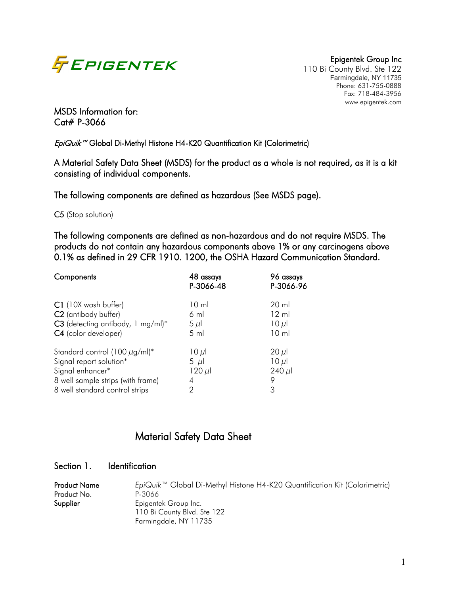

110 Bi County Blvd. Ste 122 Farmingdale, NY 11735 Phone: 631-755-0888 Fax: 718-484-3956 www.epigentek.com

MSDS Information for: Cat# P-3066

EpiQuik<sup>™</sup> Global Di-Methyl Histone H4-K20 Quantification Kit (Colorimetric)

A Material Safety Data Sheet (MSDS) for the product as a whole is not required, as it is a kit consisting of individual components.

The following components are defined as hazardous (See MSDS page).

C5 (Stop solution)

The following components are defined as non-hazardous and do not require MSDS. The products do not contain any hazardous components above 1% or any carcinogens above 0.1% as defined in 29 CFR 1910. 1200, the OSHA Hazard Communication Standard.

| Components                         | 48 assays<br>P-3066-48 | 96 assays<br>P-3066-96 |
|------------------------------------|------------------------|------------------------|
| C1 (10X wash buffer)               | $10 \mathrm{m}$        | $20 \mathrm{ml}$       |
| C <sub>2</sub> (antibody buffer)   | $6 \text{ ml}$         | $12 \text{ ml}$        |
| C3 (detecting antibody, 1 mg/ml)*  | $5 \mu$                | $10 \mu$               |
| C4 (color developer)               | $5 \,$ ml              | 10 <sub>m</sub>        |
| Standard control (100 $\mu$ g/ml)* | $10 \mu$               | $20 \mu$               |
| Signal report solution*            | $5 \mu l$              | $10 \mu$               |
| Signal enhancer*                   | $120 \mu$              | $240 \mu$              |
| 8 well sample strips (with frame)  | 4                      | 9                      |
| 8 well standard control strips     | 2                      | 3                      |

# Material Safety Data Sheet

### Section 1. Identification

| <b>Product Name</b><br>Product No. | EpiQuik <sup>™</sup> Global Di-Methyl Histone H4-K20 Quantification Kit (Colorimetric)<br>P-3066 |
|------------------------------------|--------------------------------------------------------------------------------------------------|
| Supplier                           | Epigentek Group Inc.                                                                             |
|                                    | 110 Bi County Blvd. Ste 122                                                                      |
|                                    | Farmingdale, NY 11735                                                                            |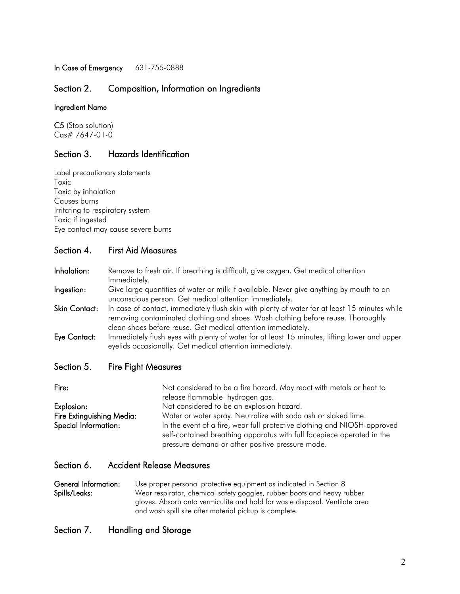In Case of Emergency 631-755-0888

## Section 2. Composition, Information on Ingredients

#### Ingredient Name

C5 (Stop solution) Cas# 7647-01-0

# Section 3. Hazards Identification

Label precautionary statements Toxic Toxic by inhalation Causes burns Irritating to respiratory system Toxic if ingested Eye contact may cause severe burns

#### Section 4. First Aid Measures

Inhalation: Remove to fresh air. If breathing is difficult, give oxygen. Get medical attention immediately.

Ingestion: Give large quantities of water or milk if available. Never give anything by mouth to an unconscious person. Get medical attention immediately.

Skin Contact: In case of contact, immediately flush skin with plenty of water for at least 15 minutes while removing contaminated clothing and shoes. Wash clothing before reuse. Thoroughly clean shoes before reuse. Get medical attention immediately.

Eye Contact: Immediately flush eyes with plenty of water for at least 15 minutes, lifting lower and upper eyelids occasionally. Get medical attention immediately.

#### Section 5. Fire Fight Measures

| Fire:                     | Not considered to be a fire hazard. May react with metals or heat to     |  |  |
|---------------------------|--------------------------------------------------------------------------|--|--|
|                           | release flammable hydrogen gas.                                          |  |  |
| Explosion:                | Not considered to be an explosion hazard.                                |  |  |
| Fire Extinguishing Media: | Water or water spray. Neutralize with soda ash or slaked lime.           |  |  |
| Special Information:      | In the event of a fire, wear full protective clothing and NIOSH-approved |  |  |
|                           | self-contained breathing apparatus with full facepiece operated in the   |  |  |
|                           | pressure demand or other positive pressure mode.                         |  |  |

#### Section 6. Accident Release Measures

General Information: Use proper personal protective equipment as indicated in Section 8 Spills/Leaks: Wear respirator, chemical safety goggles, rubber boots and heavy rubber gloves. Absorb onto vermiculite and hold for waste disposal. Ventilate area and wash spill site after material pickup is complete.

#### Section 7. Handling and Storage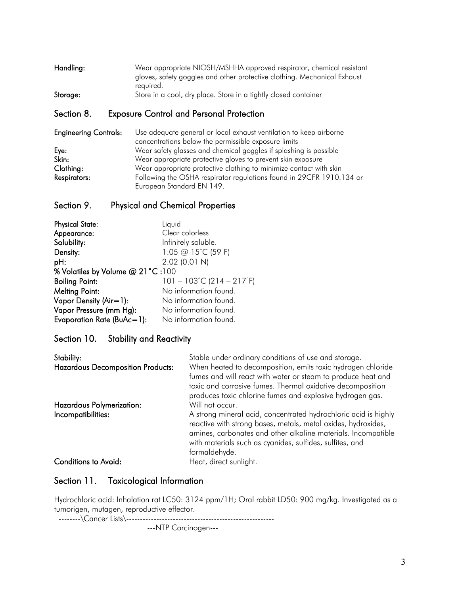| Handling: | Wear appropriate NIOSH/MSHHA approved respirator, chemical resistant     |
|-----------|--------------------------------------------------------------------------|
|           | gloves, safety goggles and other protective clothing. Mechanical Exhaust |
|           | reauired.                                                                |
| Storage:  | Store in a cool, dry place. Store in a tightly closed container          |

### Section 8. Exposure Control and Personal Protection

| <b>Engineering Controls:</b> | Use adequate general or local exhaust ventilation to keep airborne   |
|------------------------------|----------------------------------------------------------------------|
|                              | concentrations below the permissible exposure limits                 |
| Eye:                         | Wear safety glasses and chemical goggles if splashing is possible    |
| Skin:                        | Wear appropriate protective gloves to prevent skin exposure          |
| Clothing:                    | Wear appropriate protective clothing to minimize contact with skin   |
| Respirators:                 | Following the OSHA respirator regulations found in 29CFR 1910.134 or |
|                              | European Standard EN 149.                                            |

# Section 9. Physical and Chemical Properties

| <b>Physical State:</b>           | Liquid                                         |  |
|----------------------------------|------------------------------------------------|--|
| Appearance:                      | Clear colorless                                |  |
| Solubility:                      | Infinitely soluble.                            |  |
| Density:                         | 1.05 @ 15°C (59°F)                             |  |
| pH:                              | 2.02 (0.01 N)                                  |  |
| % Volatiles by Volume @ 21°C:100 |                                                |  |
| <b>Boiling Point:</b>            | $101 - 103^{\circ}$ C (214 - 217 $^{\circ}$ F) |  |
| <b>Melting Point:</b>            | No information found.                          |  |
| Vapor Density (Air=1):           | No information found.                          |  |
| Vapor Pressure (mm Hg):          | No information found.                          |  |
| Evaporation Rate (BuAc=1):       | No information found.                          |  |

## Section 10. Stability and Reactivity

| Stability:                               | Stable under ordinary conditions of use and storage.                                                                                                                                                                                                                           |
|------------------------------------------|--------------------------------------------------------------------------------------------------------------------------------------------------------------------------------------------------------------------------------------------------------------------------------|
| <b>Hazardous Decomposition Products:</b> | When heated to decomposition, emits toxic hydrogen chloride<br>fumes and will react with water or steam to produce heat and<br>toxic and corrosive fumes. Thermal oxidative decomposition<br>produces toxic chlorine fumes and explosive hydrogen gas.                         |
| Hazardous Polymerization:                | Will not occur.                                                                                                                                                                                                                                                                |
| Incompatibilities:                       | A strong mineral acid, concentrated hydrochloric acid is highly<br>reactive with strong bases, metals, metal oxides, hydroxides,<br>amines, carbonates and other alkaline materials. Incompatible<br>with materials such as cyanides, sulfides, sulfites, and<br>formaldehyde. |
| <b>Conditions to Avoid:</b>              | Heat, direct sunlight.                                                                                                                                                                                                                                                         |

# Section 11. Toxicological Information

Hydrochloric acid: Inhalation rat LC50: 3124 ppm/1H; Oral rabbit LD50: 900 mg/kg. Investigated as a tumorigen, mutagen, reproductive effector.

 --------\Cancer Lists\------------------------------------------------------ ---NTP Carcinogen---